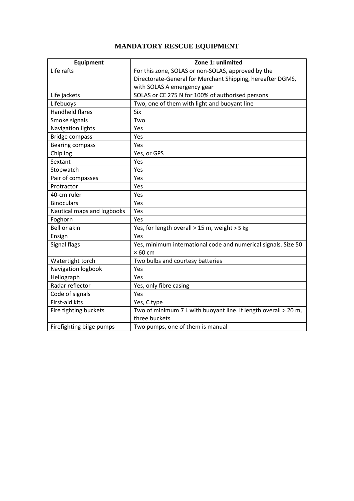## **MANDATORY RESCUE EQUIPMENT**

| <b>Equipment</b>           | Zone 1: unlimited                                                                |
|----------------------------|----------------------------------------------------------------------------------|
| Life rafts                 | For this zone, SOLAS or non-SOLAS, approved by the                               |
|                            | Directorate-General for Merchant Shipping, hereafter DGMS,                       |
|                            | with SOLAS A emergency gear                                                      |
| Life jackets               | SOLAS or CE 275 N for 100% of authorised persons                                 |
| Lifebuoys                  | Two, one of them with light and buoyant line                                     |
| <b>Handheld flares</b>     | Six                                                                              |
| Smoke signals              | Two                                                                              |
| Navigation lights          | Yes                                                                              |
| <b>Bridge compass</b>      | Yes                                                                              |
| <b>Bearing compass</b>     | Yes                                                                              |
| Chip log                   | Yes, or GPS                                                                      |
| Sextant                    | Yes                                                                              |
| Stopwatch                  | Yes                                                                              |
| Pair of compasses          | Yes                                                                              |
| Protractor                 | Yes                                                                              |
| 40-cm ruler                | Yes                                                                              |
| <b>Binoculars</b>          | Yes                                                                              |
| Nautical maps and logbooks | Yes                                                                              |
| Foghorn                    | Yes                                                                              |
| Bell or akin               | Yes, for length overall > 15 m, weight > 5 kg                                    |
| Ensign                     | Yes                                                                              |
| Signal flags               | Yes, minimum international code and numerical signals. Size 50                   |
|                            | $\times 60$ cm                                                                   |
| Watertight torch           | Two bulbs and courtesy batteries                                                 |
| Navigation logbook         | Yes                                                                              |
| Heliograph                 | <b>Yes</b>                                                                       |
| Radar reflector            | Yes, only fibre casing                                                           |
| Code of signals            | Yes                                                                              |
| First-aid kits             | Yes, C type                                                                      |
| Fire fighting buckets      | Two of minimum 7 L with buoyant line. If length overall > 20 m,<br>three buckets |
| Firefighting bilge pumps   | Two pumps, one of them is manual                                                 |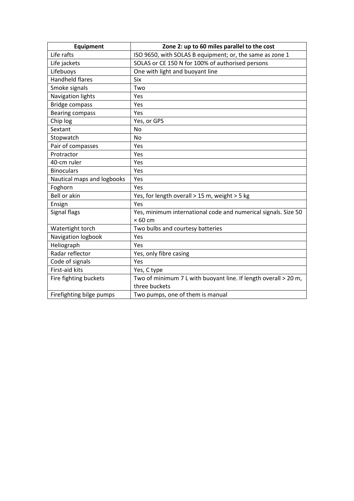| Equipment                  | Zone 2: up to 60 miles parallel to the cost                                      |
|----------------------------|----------------------------------------------------------------------------------|
| Life rafts                 | ISO 9650, with SOLAS B equipment; or, the same as zone 1                         |
| Life jackets               | SOLAS or CE 150 N for 100% of authorised persons                                 |
| Lifebuoys                  | One with light and buoyant line                                                  |
| <b>Handheld flares</b>     | Six                                                                              |
| Smoke signals              | Two                                                                              |
| Navigation lights          | Yes                                                                              |
| <b>Bridge compass</b>      | Yes                                                                              |
| <b>Bearing compass</b>     | Yes                                                                              |
| Chip log                   | Yes, or GPS                                                                      |
| Sextant                    | No                                                                               |
| Stopwatch                  | No                                                                               |
| Pair of compasses          | Yes                                                                              |
| Protractor                 | Yes                                                                              |
| 40-cm ruler                | Yes                                                                              |
| <b>Binoculars</b>          | Yes                                                                              |
| Nautical maps and logbooks | Yes                                                                              |
| Foghorn                    | Yes                                                                              |
| <b>Bell or akin</b>        | Yes, for length overall > 15 m, weight > 5 kg                                    |
| Ensign                     | Yes                                                                              |
| Signal flags               | Yes, minimum international code and numerical signals. Size 50                   |
|                            | $\times$ 60 cm                                                                   |
| Watertight torch           | Two bulbs and courtesy batteries                                                 |
| Navigation logbook         | Yes                                                                              |
| Heliograph                 | Yes                                                                              |
| Radar reflector            | Yes, only fibre casing                                                           |
| Code of signals            | Yes                                                                              |
| First-aid kits             | Yes, C type                                                                      |
| Fire fighting buckets      | Two of minimum 7 L with buoyant line. If length overall > 20 m,<br>three buckets |
| Firefighting bilge pumps   | Two pumps, one of them is manual                                                 |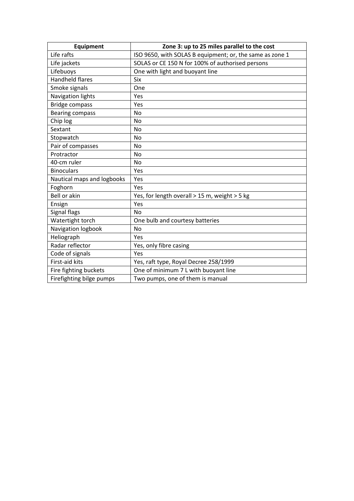| Equipment                  | Zone 3: up to 25 miles parallel to the cost              |
|----------------------------|----------------------------------------------------------|
| Life rafts                 | ISO 9650, with SOLAS B equipment; or, the same as zone 1 |
| Life jackets               | SOLAS or CE 150 N for 100% of authorised persons         |
| Lifebuoys                  | One with light and buoyant line                          |
| <b>Handheld flares</b>     | <b>Six</b>                                               |
| Smoke signals              | One                                                      |
| Navigation lights          | Yes                                                      |
| <b>Bridge compass</b>      | Yes                                                      |
| <b>Bearing compass</b>     | No                                                       |
| Chip log                   | <b>No</b>                                                |
| Sextant                    | <b>No</b>                                                |
| Stopwatch                  | No                                                       |
| Pair of compasses          | No                                                       |
| Protractor                 | No                                                       |
| 40-cm ruler                | No                                                       |
| <b>Binoculars</b>          | Yes                                                      |
| Nautical maps and logbooks | Yes                                                      |
| Foghorn                    | Yes                                                      |
| <b>Bell or akin</b>        | Yes, for length overall > 15 m, weight > 5 kg            |
| Ensign                     | Yes                                                      |
| <b>Signal flags</b>        | N <sub>0</sub>                                           |
| Watertight torch           | One bulb and courtesy batteries                          |
| Navigation logbook         | <b>No</b>                                                |
| Heliograph                 | Yes                                                      |
| Radar reflector            | Yes, only fibre casing                                   |
| Code of signals            | Yes                                                      |
| First-aid kits             | Yes, raft type, Royal Decree 258/1999                    |
| Fire fighting buckets      | One of minimum 7 L with buoyant line                     |
| Firefighting bilge pumps   | Two pumps, one of them is manual                         |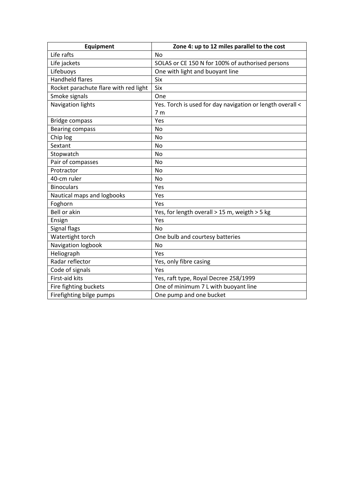| <b>Equipment</b>                      | Zone 4: up to 12 miles parallel to the cost               |
|---------------------------------------|-----------------------------------------------------------|
| Life rafts                            | No                                                        |
| Life jackets                          | SOLAS or CE 150 N for 100% of authorised persons          |
| Lifebuoys                             | One with light and buoyant line                           |
| <b>Handheld flares</b>                | Six                                                       |
| Rocket parachute flare with red light | Six                                                       |
| Smoke signals                         | One                                                       |
| Navigation lights                     | Yes. Torch is used for day navigation or length overall < |
|                                       | 7 <sub>m</sub>                                            |
| <b>Bridge compass</b>                 | Yes                                                       |
| <b>Bearing compass</b>                | No                                                        |
| Chip log                              | <b>No</b>                                                 |
| Sextant                               | No                                                        |
| Stopwatch                             | <b>No</b>                                                 |
| Pair of compasses                     | No                                                        |
| Protractor                            | <b>No</b>                                                 |
| 40-cm ruler                           | <b>No</b>                                                 |
| <b>Binoculars</b>                     | Yes                                                       |
| Nautical maps and logbooks            | Yes                                                       |
| Foghorn                               | Yes                                                       |
| <b>Bell or akin</b>                   | Yes, for length overall > 15 m, weigth > 5 kg             |
| Ensign                                | Yes                                                       |
| <b>Signal flags</b>                   | <b>No</b>                                                 |
| Watertight torch                      | One bulb and courtesy batteries                           |
| Navigation logbook                    | <b>No</b>                                                 |
| Heliograph                            | Yes                                                       |
| Radar reflector                       | Yes, only fibre casing                                    |
| Code of signals                       | Yes                                                       |
| First-aid kits                        | Yes, raft type, Royal Decree 258/1999                     |
| Fire fighting buckets                 | One of minimum 7 L with buoyant line                      |
| Firefighting bilge pumps              | One pump and one bucket                                   |